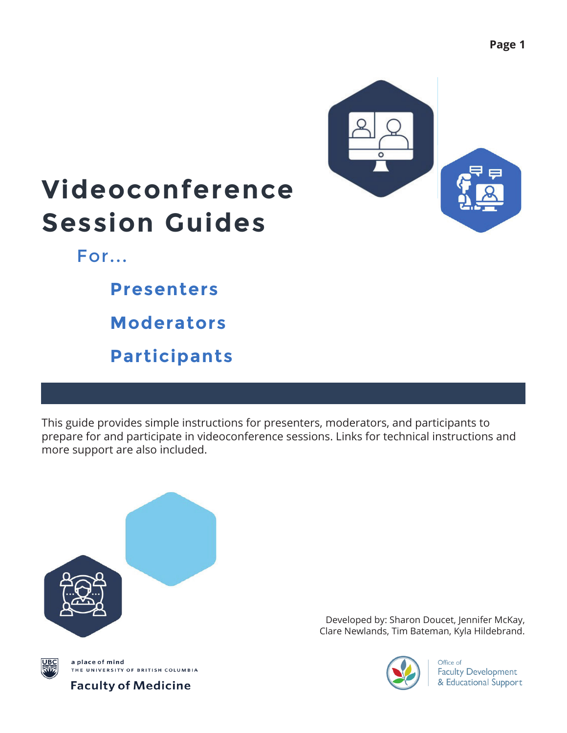

## **Videoconference Session Guides**

For...

**Presenters**

**Moderators**

**Participants**

This guide provides simple instructions for presenters, moderators, and participants to prepare for and participate in videoconference sessions. Links for technical instructions and more support are also included.



Developed by: Sharon Doucet, Jennifer McKay, Clare Newlands, Tim Bateman, Kyla Hildebrand.



Office of **Faculty Development** & Educational Support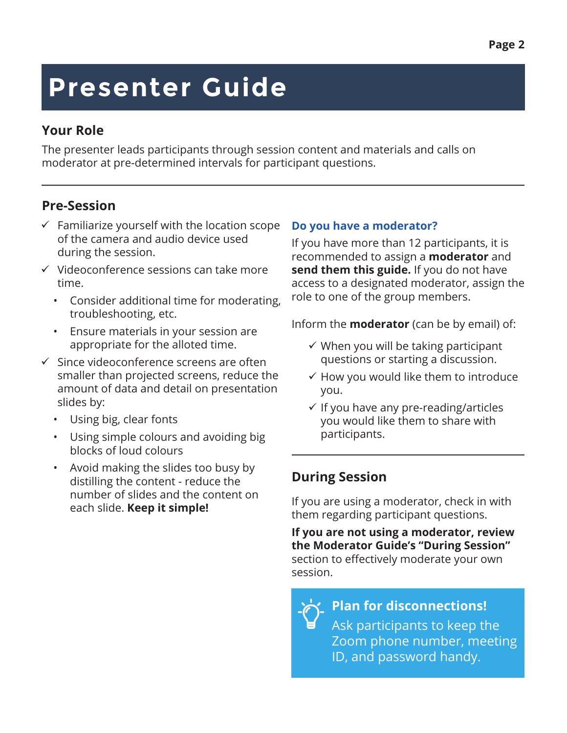## **Presenter Guide**

### **Your Role**

The presenter leads participants through session content and materials and calls on moderator at pre-determined intervals for participant questions.

### **Pre-Session**

- $\checkmark$  Familiarize yourself with the location scope of the camera and audio device used during the session.
- $\checkmark$  Videoconference sessions can take more time.
	- Consider additional time for moderating, troubleshooting, etc.
	- Ensure materials in your session are appropriate for the alloted time.
- $\checkmark$  Since videoconference screens are often smaller than projected screens, reduce the amount of data and detail on presentation slides by:
	- Using big, clear fonts
	- Using simple colours and avoiding big blocks of loud colours
	- Avoid making the slides too busy by distilling the content - reduce the number of slides and the content on

### **Do you have a moderator?**

If you have more than 12 participants, it is recommended to assign a **moderator** and **send them this guide.** If you do not have access to a designated moderator, assign the role to one of the group members.

Inform the **moderator** (can be by email) of:

- $\checkmark$  When you will be taking participant questions or starting a discussion.
- $\checkmark$  How you would like them to introduce you.
- $\checkmark$  If you have any pre-reading/articles you would like them to share with participants.

### **During Session**

each slide. **Keep it simple!** If you are using a moderator, check in with them regarding participant questions.

> **If you are not using a moderator, review the Moderator Guide's "During Session"** section to effectively moderate your own session.

**Plan for disconnections!** Ask participants to keep the Zoom phone number, meeting ID, and password handy.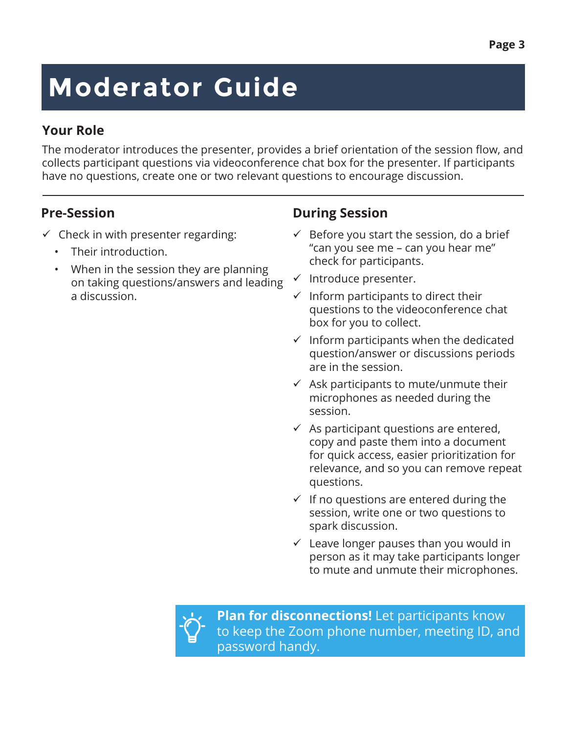# **Moderator Guide**

### **Your Role**

The moderator introduces the presenter, provides a brief orientation of the session flow, and collects participant questions via videoconference chat box for the presenter. If participants have no questions, create one or two relevant questions to encourage discussion.

- $\checkmark$  Check in with presenter regarding:
	- Their introduction.
	- When in the session they are planning on taking questions/answers and leading a discussion.

### **Pre-Session During Session**

- $\checkmark$  Before you start the session, do a brief "can you see me – can you hear me" check for participants.
- $\checkmark$  Introduce presenter.
- $\checkmark$  Inform participants to direct their questions to the videoconference chat box for you to collect.
- $\checkmark$  Inform participants when the dedicated question/answer or discussions periods are in the session.
- $\checkmark$  Ask participants to mute/unmute their microphones as needed during the session.
- $\checkmark$  As participant questions are entered, copy and paste them into a document for quick access, easier prioritization for relevance, and so you can remove repeat questions.
- $\checkmark$  If no questions are entered during the session, write one or two questions to spark discussion.
- $\checkmark$  Leave longer pauses than you would in person as it may take participants longer to mute and unmute their microphones.



**Plan for disconnections!** Let participants know to keep the Zoom phone number, meeting ID, and password handy.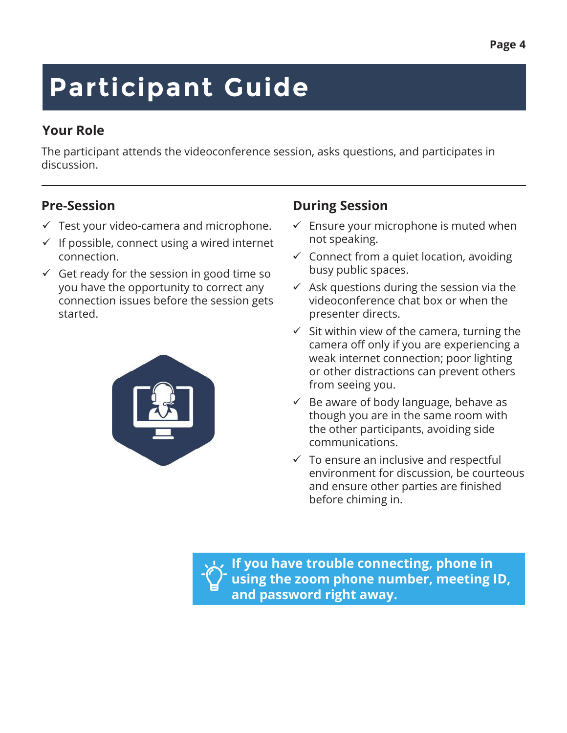# **Participant Guide**

### **Your Role**

The participant attends the videoconference session, asks questions, and participates in discussion.

- $\checkmark$  Test your video-camera and microphone.
- $\checkmark$  If possible, connect using a wired internet connection.
- $\checkmark$  Get ready for the session in good time so you have the opportunity to correct any connection issues before the session gets started.



### **Pre-Session During Session**

- $\checkmark$  Ensure your microphone is muted when not speaking.
- $\checkmark$  Connect from a quiet location, avoiding busy public spaces.
- $\checkmark$  Ask questions during the session via the videoconference chat box or when the presenter directs.
- $\checkmark$  Sit within view of the camera, turning the camera off only if you are experiencing a weak internet connection; poor lighting or other distractions can prevent others from seeing you.
- $\checkmark$  Be aware of body language, behave as though you are in the same room with the other participants, avoiding side communications.
- $\checkmark$  To ensure an inclusive and respectful environment for discussion, be courteous and ensure other parties are finished before chiming in.

**If you have trouble connecting, phone in using the zoom phone number, meeting ID, and password right away.**